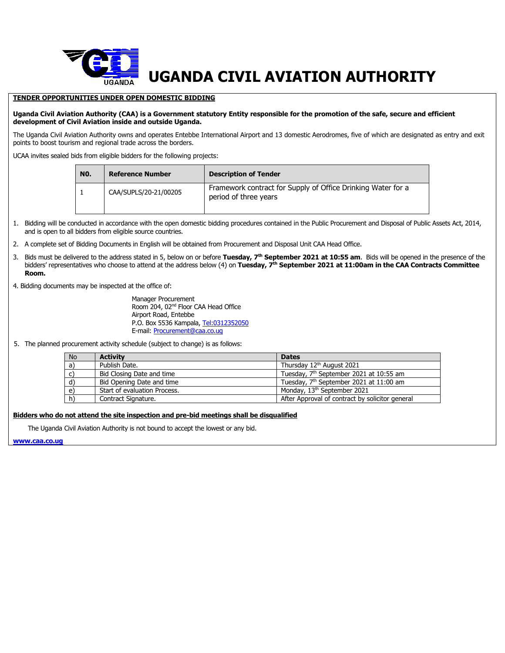

## **TENDER OPPORTUNITIES UNDER OPEN DOMESTIC BIDDING**

## **Uganda Civil Aviation Authority (CAA) is a Government statutory Entity responsible for the promotion of the safe, secure and efficient development of Civil Aviation inside and outside Uganda.**

The Uganda Civil Aviation Authority owns and operates Entebbe International Airport and 13 domestic Aerodromes, five of which are designated as entry and exit points to boost tourism and regional trade across the borders.

UCAA invites sealed bids from eligible bidders for the following projects:

| NO. | <b>Reference Number</b> | <b>Description of Tender</b>                                                          |  |
|-----|-------------------------|---------------------------------------------------------------------------------------|--|
|     | CAA/SUPLS/20-21/00205   | Framework contract for Supply of Office Drinking Water for a<br>period of three years |  |

1. Bidding will be conducted in accordance with the open domestic bidding procedures contained in the Public Procurement and Disposal of Public Assets Act, 2014, and is open to all bidders from eligible source countries.

- 2. A complete set of Bidding Documents in English will be obtained from Procurement and Disposal Unit CAA Head Office.
- 3. Bids must be delivered to the address stated in 5, below on or before **Tuesday, 7 th September 2021 at 10:55 am**. Bids will be opened in the presence of the bidders' representatives who choose to attend at the address below (4) on **Tuesday, 7 th September 2021 at 11:00am in the CAA Contracts Committee Room.**
- 4. Bidding documents may be inspected at the office of:

Manager Procurement Room 204, 02<sup>nd</sup> Floor CAA Head Office Airport Road, Entebbe P.O. Box 5536 Kampala, [Tel:0312352050](tel:0312352050) E-mail: [Procurement@caa.co.ug](mailto:Procurement@caa.co.ug)

5. The planned procurement activity schedule (subject to change) is as follows:

| <b>No</b> | <b>Activity</b>              | <b>Dates</b>                                        |
|-----------|------------------------------|-----------------------------------------------------|
| a)        | Publish Date.                | Thursday 12 <sup>th</sup> August 2021               |
| C)        | Bid Closing Date and time    | Tuesday, 7 <sup>th</sup> September 2021 at 10:55 am |
| d)        | Bid Opening Date and time    | Tuesday, 7 <sup>th</sup> September 2021 at 11:00 am |
| e)        | Start of evaluation Process. | Monday, 13 <sup>th</sup> September 2021             |
| h)        | Contract Signature.          | After Approval of contract by solicitor general     |

## **Bidders who do not attend the site inspection and pre-bid meetings shall be disqualified**

The Uganda Civil Aviation Authority is not bound to accept the lowest or any bid.

**[www.caa.co.ug](http://www.caa.co.ug/)**